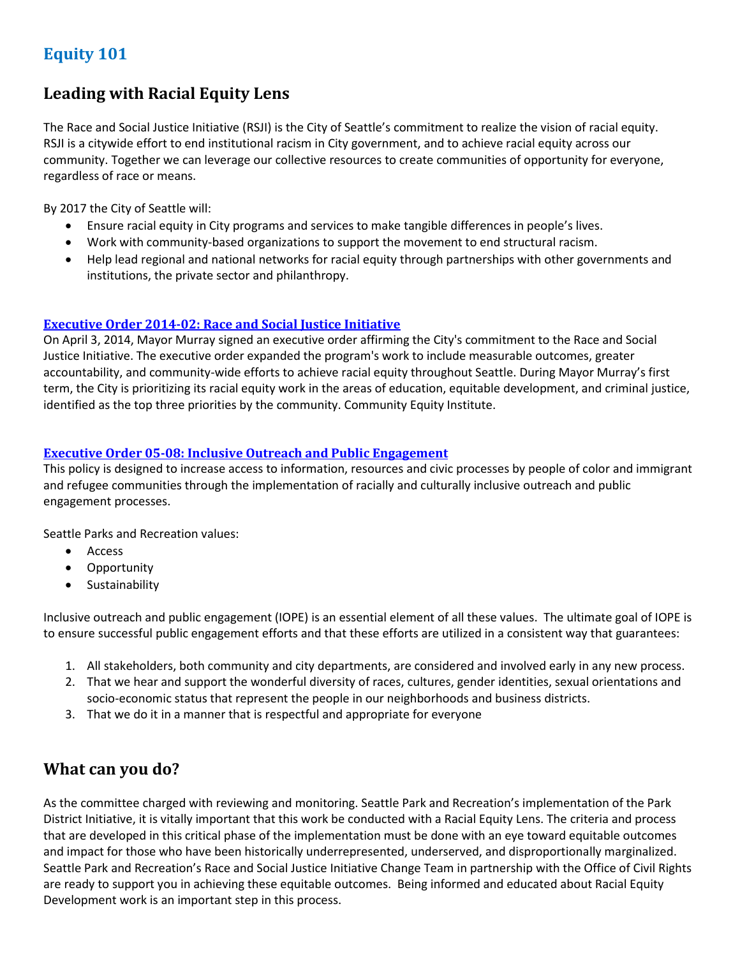# **Equity 101**

# **Leading with Racial Equity Lens**

The Race and Social Justice Initiative (RSJI) is the City of Seattle's commitment to realize the vision of racial equity. RSJI is a citywide effort to end institutional racism in City government, and to achieve racial equity across our community. Together we can leverage our collective resources to create communities of opportunity for everyone, regardless of race or means.

By 2017 the City of Seattle will:

- Ensure racial equity in City programs and services to make tangible differences in people's lives.
- Work with community-based organizations to support the movement to end structural racism.
- Help lead regional and national networks for racial equity through partnerships with other governments and institutions, the private sector and philanthropy.

#### **[Executive Order 2014-02: Race and Social Justice Initiative](http://murray.seattle.gov/wp-content/uploads/2014/04/RSJI-Executive-Order.pdf)**

On April 3, 2014, Mayor Murray signed an executive order affirming the City's commitment to the Race and Social Justice Initiative. The executive order expanded the program's work to include measurable outcomes, greater accountability, and community-wide efforts to achieve racial equity throughout Seattle. During Mayor Murray's first term, the City is prioritizing its racial equity work in the areas of education, equitable development, and criminal justice, identified as the top three priorities by the community. Community Equity Institute.

#### **[Executive Order 05-08: Inclusive Outreach and Public Engagement](http://inweb/neighborhoods/InwebOutreachGuide/E05-08OutreachPublicEngagement.pdf)**

This policy is designed to increase access to information, resources and civic processes by people of color and immigrant and refugee communities through the implementation of racially and culturally inclusive outreach and public engagement processes.

Seattle Parks and Recreation values:

- Access
- Opportunity
- **•** Sustainability

Inclusive outreach and public engagement (IOPE) is an essential element of all these values. The ultimate goal of IOPE is to ensure successful public engagement efforts and that these efforts are utilized in a consistent way that guarantees:

- 1. All stakeholders, both community and city departments, are considered and involved early in any new process.
- 2. That we hear and support the wonderful diversity of races, cultures, gender identities, sexual orientations and socio-economic status that represent the people in our neighborhoods and business districts.
- 3. That we do it in a manner that is respectful and appropriate for everyone

## **What can you do?**

As the committee charged with reviewing and monitoring. Seattle Park and Recreation's implementation of the Park District Initiative, it is vitally important that this work be conducted with a Racial Equity Lens. The criteria and process that are developed in this critical phase of the implementation must be done with an eye toward equitable outcomes and impact for those who have been historically underrepresented, underserved, and disproportionally marginalized. Seattle Park and Recreation's Race and Social Justice Initiative Change Team in partnership with the Office of Civil Rights are ready to support you in achieving these equitable outcomes. Being informed and educated about Racial Equity Development work is an important step in this process.